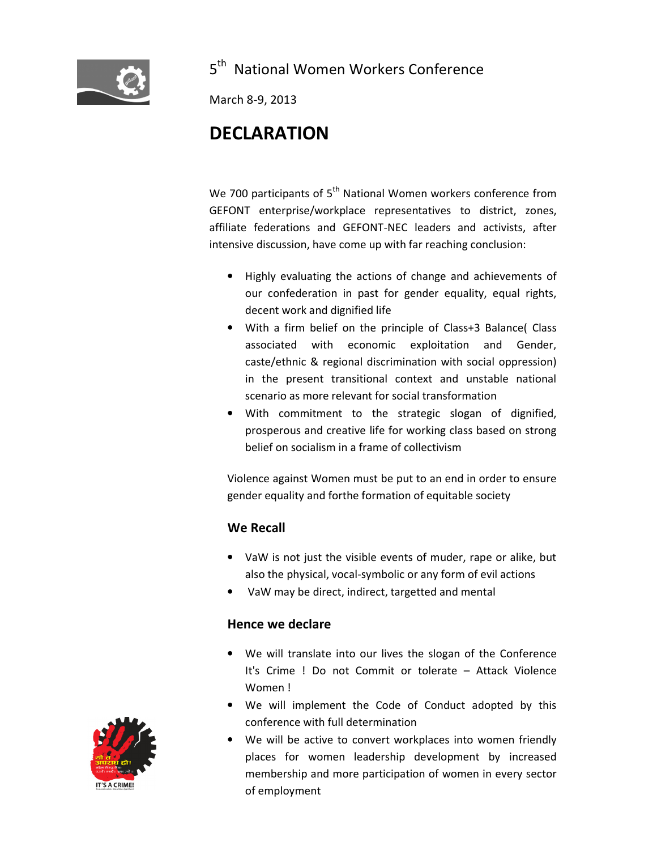

## 5<sup>th</sup> National Women Workers Conference

March 8-9, 2013

## DECLARATION

We 700 participants of 5<sup>th</sup> National Women workers conference from GEFONT enterprise/workplace representatives to district, zones, affiliate federations and GEFONT-NEC leaders and activists, after intensive discussion, have come up with far reaching conclusion:

- Highly evaluating the actions of change and achievements of our confederation in past for gender equality, equal rights, decent work and dignified life
- With a firm belief on the principle of Class+3 Balance( Class associated with economic exploitation and Gender, caste/ethnic & regional discrimination with social oppression) in the present transitional context and unstable national scenario as more relevant for social transformation
- With commitment to the strategic slogan of dignified, prosperous and creative life for working class based on strong belief on socialism in a frame of collectivism

Violence against Women must be put to an end in order to ensure gender equality and forthe formation of equitable society

## We Recall

- VaW is not just the visible events of muder, rape or alike, but also the physical, vocal-symbolic or any form of evil actions
- VaW may be direct, indirect, targetted and mental

## Hence we declare

- We will translate into our lives the slogan of the Conference It's Crime ! Do not Commit or tolerate – Attack Violence Women !
- We will implement the Code of Conduct adopted by this conference with full determination
- We will be active to convert workplaces into women friendly places for women leadership development by increased membership and more participation of women in every sector of employment